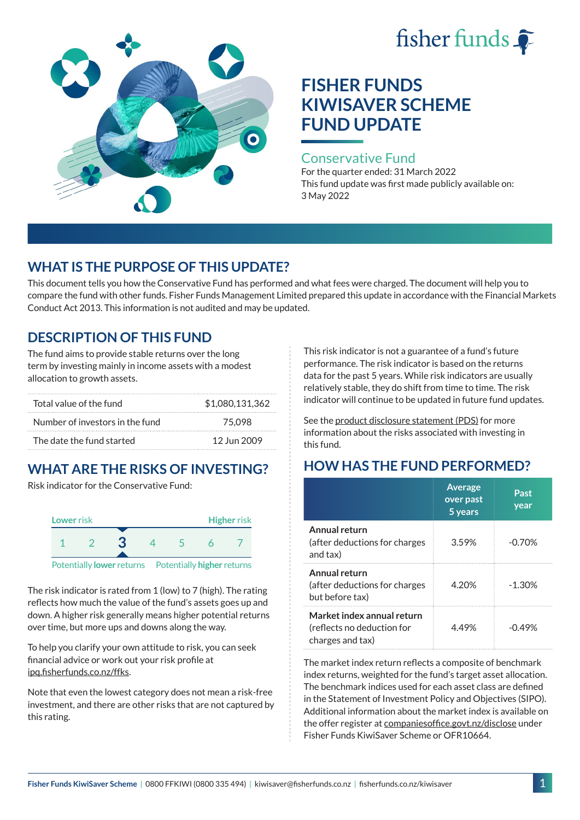# fisher funds  $\hat{\bullet}$



# **FISHER FUNDS KIWISAVER SCHEME FUND UPDATE**

#### Conservative Fund

For the quarter ended: 31 March 2022 This fund update was first made publicly available on: 3 May 2022

## **WHAT IS THE PURPOSE OF THIS UPDATE?**

This document tells you how the Conservative Fund has performed and what fees were charged. The document will help you to compare the fund with other funds. Fisher Funds Management Limited prepared this update in accordance with the Financial Markets Conduct Act 2013. This information is not audited and may be updated.

# **DESCRIPTION OF THIS FUND**

The fund aims to provide stable returns over the long term by investing mainly in income assets with a modest allocation to growth assets.

| Total value of the fund         | \$1,080,131,362 |
|---------------------------------|-----------------|
| Number of investors in the fund | 75.098          |
| The date the fund started       | 12 Jun 2009     |

# **WHAT ARE THE RISKS OF INVESTING?**

Risk indicator for the Conservative Fund:



The risk indicator is rated from 1 (low) to 7 (high). The rating reflects how much the value of the fund's assets goes up and down. A higher risk generally means higher potential returns over time, but more ups and downs along the way.

To help you clarify your own attitude to risk, you can seek financial advice or work out your risk profile at [ipq.fisherfunds.co.nz/ffks](https://ipq.fisherfunds.co.nz/ffks).

Note that even the lowest category does not mean a risk-free investment, and there are other risks that are not captured by this rating.

This risk indicator is not a guarantee of a fund's future performance. The risk indicator is based on the returns data for the past 5 years. While risk indicators are usually relatively stable, they do shift from time to time. The risk indicator will continue to be updated in future fund updates.

See the [product disclosure statement \(PDS\)](https://fisherfunds.co.nz/assets/PDS/Fisher-Funds-KiwiSaver-Scheme-PDS.pdf) for more information about the risks associated with investing in this fund.

# **HOW HAS THE FUND PERFORMED?**

|                                                                              | <b>Average</b><br>over past<br>5 years | Past<br>year |
|------------------------------------------------------------------------------|----------------------------------------|--------------|
| Annual return<br>(after deductions for charges<br>and tax)                   | 3.59%                                  | $-0.70%$     |
| Annual return<br>(after deductions for charges<br>but before tax)            | 4.20%                                  | $-1.30%$     |
| Market index annual return<br>(reflects no deduction for<br>charges and tax) | 449%                                   | -በ 49%       |

The market index return reflects a composite of benchmark index returns, weighted for the fund's target asset allocation. The benchmark indices used for each asset class are defined in the Statement of Investment Policy and Objectives (SIPO). Additional information about the market index is available on the offer register at [companiesoffice.govt.nz/disclose](http://companiesoffice.govt.nz/disclose) under Fisher Funds KiwiSaver Scheme or OFR10664.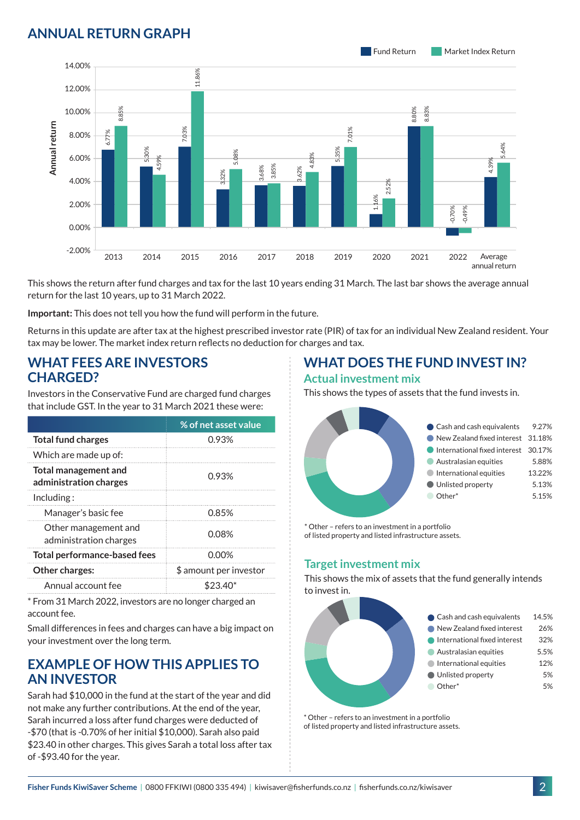## **ANNUAL RETURN GRAPH**



This shows the return after fund charges and tax for the last 10 years ending 31 March. The last bar shows the average annual return for the last 10 years, up to 31 March 2022.

**Important:** This does not tell you how the fund will perform in the future.

Returns in this update are after tax at the highest prescribed investor rate (PIR) of tax for an individual New Zealand resident. Your tax may be lower. The market index return reflects no deduction for charges and tax.

#### **WHAT FEES ARE INVESTORS CHARGED?**

| Annual return                                         | 8.00%                     | 6.77% |                                                    | 03%   |                                                                                                                                      |                |
|-------------------------------------------------------|---------------------------|-------|----------------------------------------------------|-------|--------------------------------------------------------------------------------------------------------------------------------------|----------------|
|                                                       | 6.00%                     |       | 5,30%<br>4.59%                                     |       | .08%                                                                                                                                 |                |
|                                                       | 4.00%                     |       |                                                    |       | 3,32%                                                                                                                                | 3.85%<br>8.68% |
|                                                       | 2.00%                     |       |                                                    |       |                                                                                                                                      |                |
|                                                       | 0.00%                     |       |                                                    |       |                                                                                                                                      |                |
|                                                       | $-2.00%$                  | 2013  | 2014                                               | 2015  | 2016                                                                                                                                 | 2017           |
|                                                       |                           |       | return for the last 10 years, up to 31 March 2022. |       | This shows the return after fund charges and tax for the last 10                                                                     |                |
|                                                       |                           |       |                                                    |       | Important: This does not tell you how the fund will perform in t                                                                     |                |
|                                                       |                           |       |                                                    |       | Returns in this update are after tax at the highest prescribed in<br>tax may be lower. The market index return reflects no deductior |                |
| <b>CHARGED?</b>                                       |                           |       | <b>WHAT FEES ARE INVESTORS</b>                     |       |                                                                                                                                      |                |
|                                                       |                           |       |                                                    |       | Investors in the Conservative Fund are charged fund charges<br>that include GST. In the year to 31 March 2021 these were:            |                |
|                                                       |                           |       |                                                    |       | % of net asset value                                                                                                                 |                |
|                                                       | <b>Total fund charges</b> |       |                                                    |       | 0.93%                                                                                                                                |                |
|                                                       | Which are made up of:     |       |                                                    |       |                                                                                                                                      |                |
| <b>Total management and</b><br>administration charges |                           |       | 0.93%                                              |       |                                                                                                                                      |                |
| Including:                                            |                           |       |                                                    |       |                                                                                                                                      |                |
|                                                       | Manager's basic fee       |       |                                                    |       | 0.85%                                                                                                                                |                |
| Other management and<br>administration charges        |                           |       | 0.08%                                              |       |                                                                                                                                      |                |
| <b>Total performance-based fees</b>                   |                           |       |                                                    | 0.00% |                                                                                                                                      |                |
|                                                       | Other charges:            |       |                                                    |       | \$ amount per investor                                                                                                               |                |
|                                                       | Annual account fee        |       |                                                    |       | \$23.40*                                                                                                                             |                |
| account fee.                                          |                           |       |                                                    |       | * From 31 March 2022, investors are no longer charged an                                                                             |                |
|                                                       |                           |       | your investment over the long term.                |       | Small differences in fees and charges can have a big impact on                                                                       |                |

#### **EXAMPLE OF HOW THIS APPLIES TO AN INVESTOR**

Sarah had \$10,000 in the fund at the start of the year and did not make any further contributions. At the end of the year, Sarah incurred a loss after fund charges were deducted of -\$70 (that is -0.70% of her initial \$10,000). Sarah also paid \$23.40 in other charges. This gives Sarah a total loss after tax of -\$93.40 for the year.

#### **WHAT DOES THE FUND INVEST IN? Actual investment mix**

This shows the types of assets that the fund invests in.



\* Other – refers to an investment in a portfolio of listed property and listed infrastructure assets.

#### **Target investment mix**

This shows the mix of assets that the fund generally intends to invest in.



\* Other – refers to an investment in a portfolio of listed property and listed infrastructure assets.